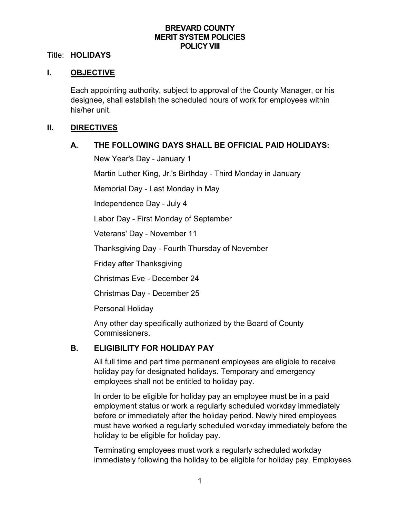### **BREVARD COUNTY MERIT SYSTEM POLICIES POLICY VIII**

#### Title: **HOLIDAYS**

### **I. OBJECTIVE**

Each appointing authority, subject to approval of the County Manager, or his designee, shall establish the scheduled hours of work for employees within his/her unit.

#### **II. DIRECTIVES**

### **A. THE FOLLOWING DAYS SHALL BE OFFICIAL PAID HOLIDAYS:**

New Year's Day - January 1

Martin Luther King, Jr.'s Birthday - Third Monday in January

Memorial Day - Last Monday in May

Independence Day - July 4

Labor Day - First Monday of September

Veterans' Day - November 11

Thanksgiving Day - Fourth Thursday of November

Friday after Thanksgiving

Christmas Eve - December 24

Christmas Day - December 25

Personal Holiday

Any other day specifically authorized by the Board of County Commissioners.

### **B. ELIGIBILITY FOR HOLIDAY PAY**

All full time and part time permanent employees are eligible to receive holiday pay for designated holidays. Temporary and emergency employees shall not be entitled to holiday pay.

In order to be eligible for holiday pay an employee must be in a paid employment status or work a regularly scheduled workday immediately before or immediately after the holiday period. Newly hired employees must have worked a regularly scheduled workday immediately before the holiday to be eligible for holiday pay.

Terminating employees must work a regularly scheduled workday immediately following the holiday to be eligible for holiday pay. Employees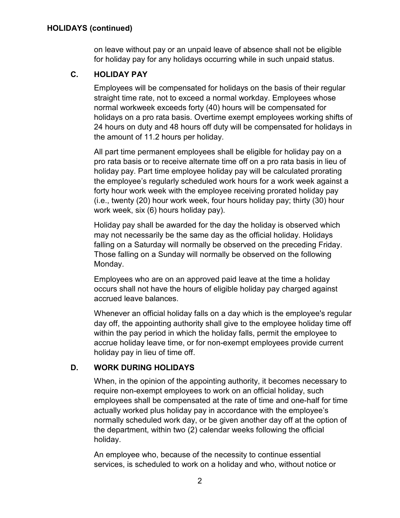on leave without pay or an unpaid leave of absence shall not be eligible for holiday pay for any holidays occurring while in such unpaid status.

# **C. HOLIDAY PAY**

Employees will be compensated for holidays on the basis of their regular straight time rate, not to exceed a normal workday. Employees whose normal workweek exceeds forty (40) hours will be compensated for holidays on a pro rata basis. Overtime exempt employees working shifts of 24 hours on duty and 48 hours off duty will be compensated for holidays in the amount of 11.2 hours per holiday.

All part time permanent employees shall be eligible for holiday pay on a pro rata basis or to receive alternate time off on a pro rata basis in lieu of holiday pay. Part time employee holiday pay will be calculated prorating the employee's regularly scheduled work hours for a work week against a forty hour work week with the employee receiving prorated holiday pay (i.e., twenty (20) hour work week, four hours holiday pay; thirty (30) hour work week, six (6) hours holiday pay).

Holiday pay shall be awarded for the day the holiday is observed which may not necessarily be the same day as the official holiday. Holidays falling on a Saturday will normally be observed on the preceding Friday. Those falling on a Sunday will normally be observed on the following Monday.

Employees who are on an approved paid leave at the time a holiday occurs shall not have the hours of eligible holiday pay charged against accrued leave balances.

Whenever an official holiday falls on a day which is the employee's regular day off, the appointing authority shall give to the employee holiday time off within the pay period in which the holiday falls, permit the employee to accrue holiday leave time, or for non-exempt employees provide current holiday pay in lieu of time off.

## **D. WORK DURING HOLIDAYS**

When, in the opinion of the appointing authority, it becomes necessary to require non-exempt employees to work on an official holiday, such employees shall be compensated at the rate of time and one-half for time actually worked plus holiday pay in accordance with the employee's normally scheduled work day, or be given another day off at the option of the department, within two (2) calendar weeks following the official holiday.

An employee who, because of the necessity to continue essential services, is scheduled to work on a holiday and who, without notice or